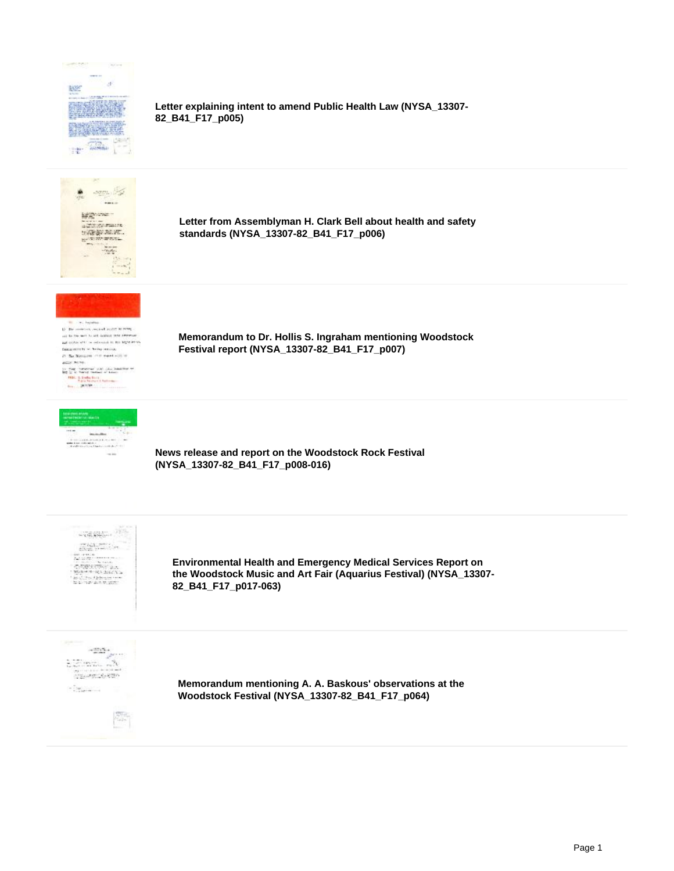

**Letter explaining intent to amend Public Health Law (NYSA\_13307- 82\_B41\_F17\_p005)**



**Letter from Assemblyman H. Clark Bell about health and safety standards (NYSA\_13307-82\_B41\_F17\_p006)**



In the control rested apply to the as to the set to all deliver the internal<br>and color of the advanced in the legativity<br>final control in Serby series,  $\mathcal{D}^{\prime}$  .<br>The Moragana crisis masses with as an any Secret  $\frac{1}{2}$  and  $\frac{1}{2}$  are the set of the state of the first state  $\frac{1}{2}$  and  $\frac{1}{2}$  and  $\frac{1}{2}$  and  $\frac{1}{2}$  are the set of the set of the set of the set of the set of the set of the set of the set of the set o



**Memorandum to Dr. Hollis S. Ingraham mentioning Woodstock Festival report (NYSA\_13307-82\_B41\_F17\_p007)**

**News release and report on the Woodstock Rock Festival (NYSA\_13307-82\_B41\_F17\_p008-016)**



**Environmental Health and Emergency Medical Services Report on the Woodstock Music and Art Fair (Aquarius Festival) (NYSA\_13307- 82\_B41\_F17\_p017-063)**



**Memorandum mentioning A. A. Baskous' observations at the Woodstock Festival (NYSA\_13307-82\_B41\_F17\_p064)**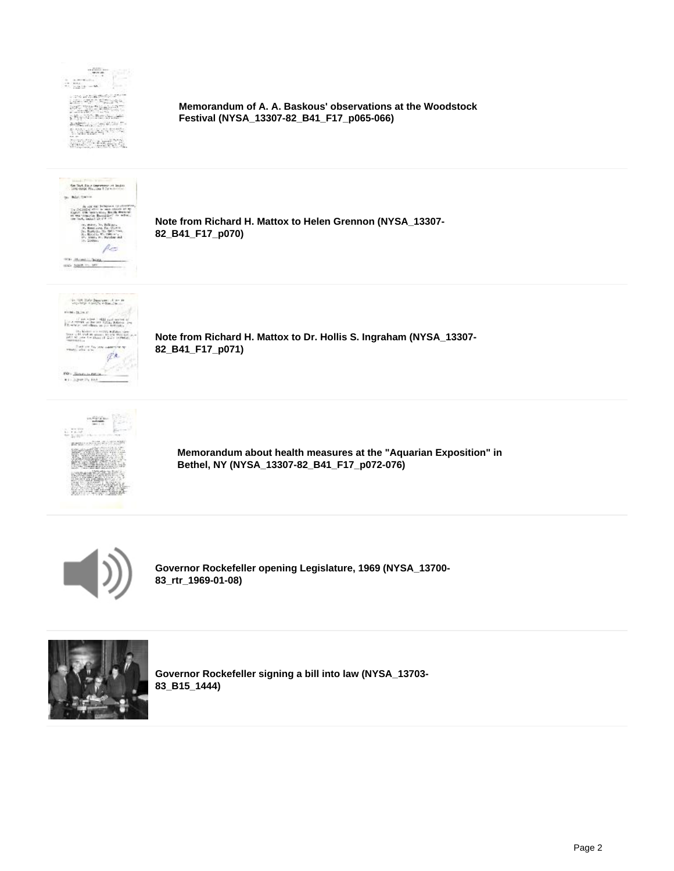

**Memorandum of A. A. Baskous' observations at the Woodstock Festival (NYSA\_13307-82\_B41\_F17\_p065-066)**



**Note from Richard H. Mattox to Helen Grennon (NYSA\_13307- 82\_B41\_F17\_p070)**



**Note from Richard H. Mattox to Dr. Hollis S. Ingraham (NYSA\_13307- 82\_B41\_F17\_p071)**



**Memorandum about health measures at the "Aquarian Exposition" in Bethel, NY (NYSA\_13307-82\_B41\_F17\_p072-076)**



**Governor Rockefeller opening Legislature, 1969 (NYSA\_13700- 83\_rtr\_1969-01-08)**



**Governor Rockefeller signing a bill into law (NYSA\_13703- 83\_B15\_1444)**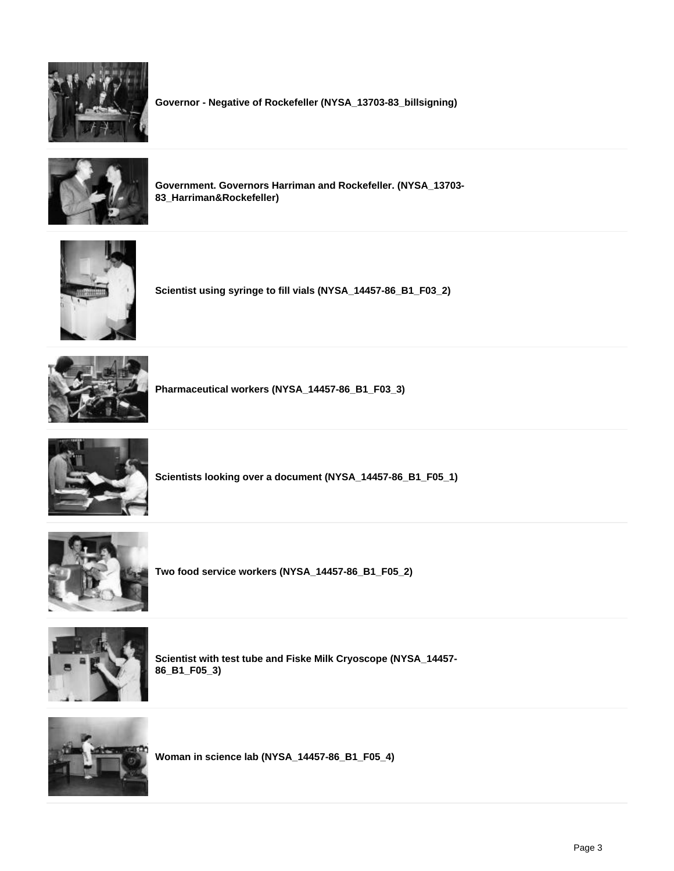

**Governor - Negative of Rockefeller (NYSA\_13703-83\_billsigning)**



**Government. Governors Harriman and Rockefeller. (NYSA\_13703- 83\_Harriman&Rockefeller)**



**Scientist using syringe to fill vials (NYSA\_14457-86\_B1\_F03\_2)**



**Pharmaceutical workers (NYSA\_14457-86\_B1\_F03\_3)**



**Scientists looking over a document (NYSA\_14457-86\_B1\_F05\_1)**



**Two food service workers (NYSA\_14457-86\_B1\_F05\_2)**



**Scientist with test tube and Fiske Milk Cryoscope (NYSA\_14457- 86\_B1\_F05\_3)**



**Woman in science lab (NYSA\_14457-86\_B1\_F05\_4)**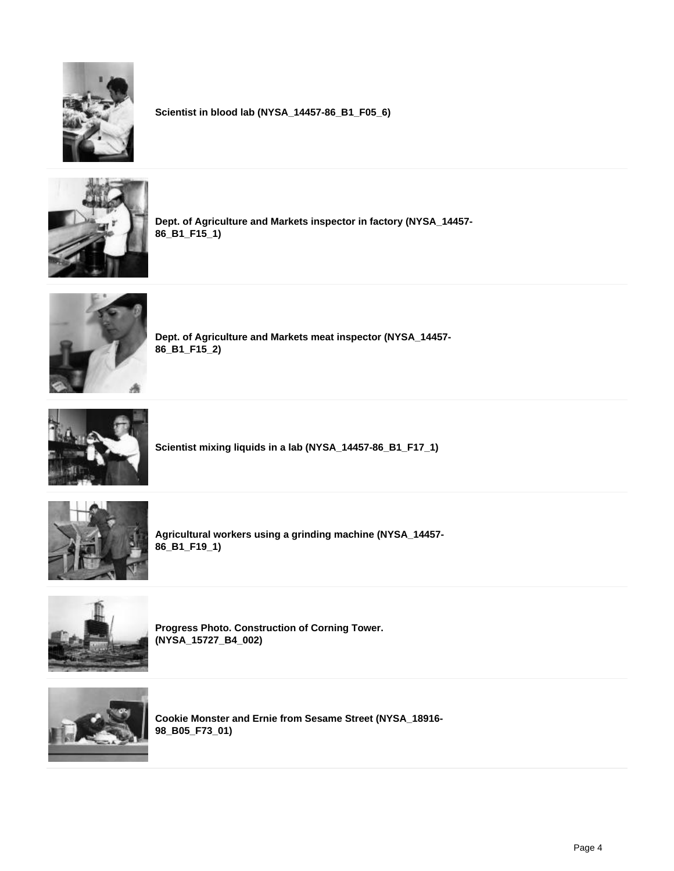

**Scientist in blood lab (NYSA\_14457-86\_B1\_F05\_6)**



**Dept. of Agriculture and Markets inspector in factory (NYSA\_14457- 86\_B1\_F15\_1)**



**Dept. of Agriculture and Markets meat inspector (NYSA\_14457- 86\_B1\_F15\_2)**



**Scientist mixing liquids in a lab (NYSA\_14457-86\_B1\_F17\_1)**



**Agricultural workers using a grinding machine (NYSA\_14457- 86\_B1\_F19\_1)**



**Progress Photo. Construction of Corning Tower. (NYSA\_15727\_B4\_002)**



**Cookie Monster and Ernie from Sesame Street (NYSA\_18916- 98\_B05\_F73\_01)**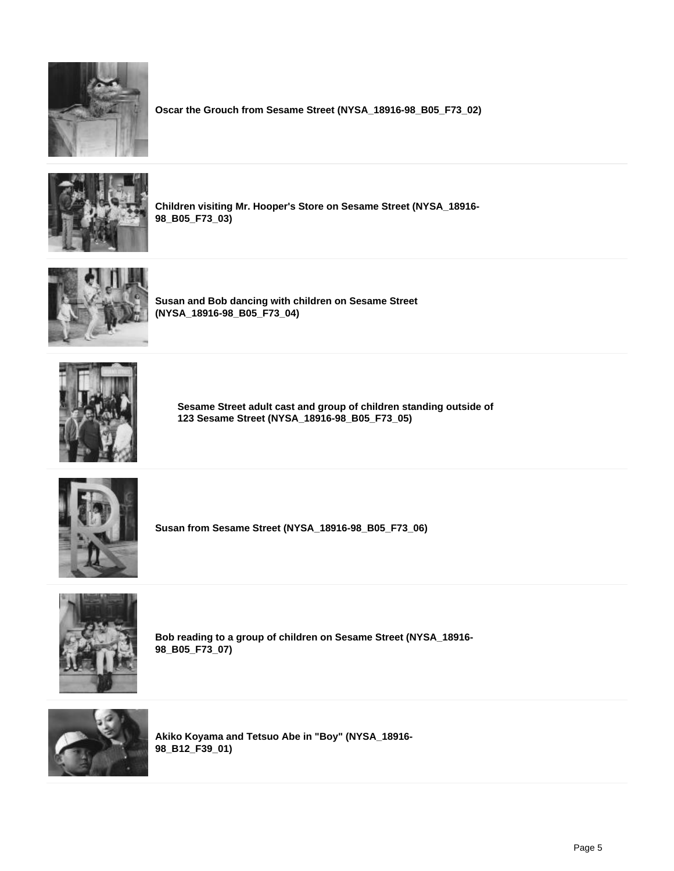

**Oscar the Grouch from Sesame Street (NYSA\_18916-98\_B05\_F73\_02)**



**Children visiting Mr. Hooper's Store on Sesame Street (NYSA\_18916- 98\_B05\_F73\_03)**



**Susan and Bob dancing with children on Sesame Street (NYSA\_18916-98\_B05\_F73\_04)**



**Sesame Street adult cast and group of children standing outside of 123 Sesame Street (NYSA\_18916-98\_B05\_F73\_05)**



**Susan from Sesame Street (NYSA\_18916-98\_B05\_F73\_06)**



**Bob reading to a group of children on Sesame Street (NYSA\_18916- 98\_B05\_F73\_07)**



**Akiko Koyama and Tetsuo Abe in "Boy" (NYSA\_18916- 98\_B12\_F39\_01)**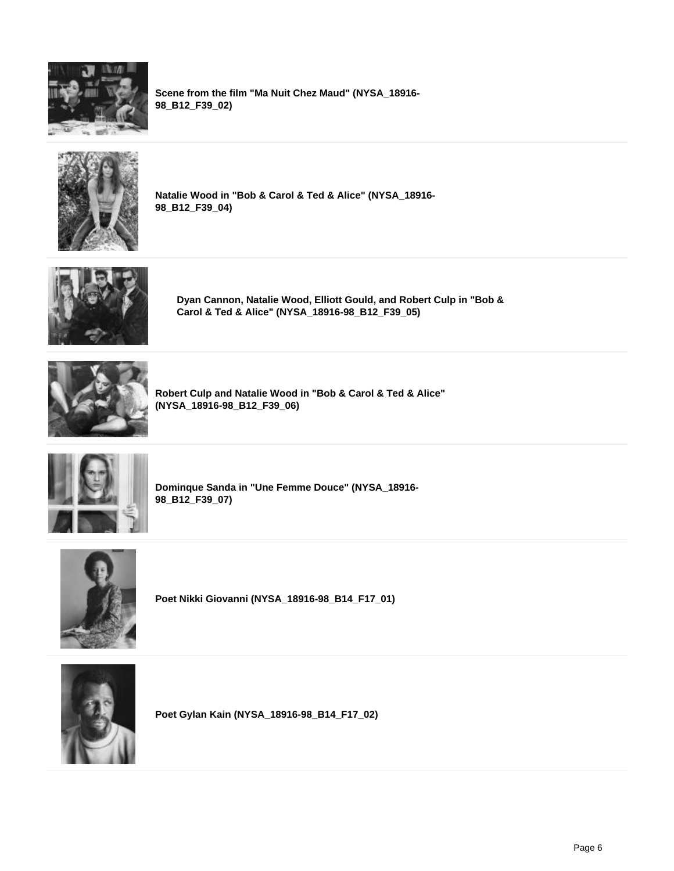

**Scene from the film "Ma Nuit Chez Maud" (NYSA\_18916- 98\_B12\_F39\_02)**



**Natalie Wood in "Bob & Carol & Ted & Alice" (NYSA\_18916- 98\_B12\_F39\_04)**



**Dyan Cannon, Natalie Wood, Elliott Gould, and Robert Culp in "Bob & Carol & Ted & Alice" (NYSA\_18916-98\_B12\_F39\_05)**



**Robert Culp and Natalie Wood in "Bob & Carol & Ted & Alice" (NYSA\_18916-98\_B12\_F39\_06)**



**Dominque Sanda in "Une Femme Douce" (NYSA\_18916- 98\_B12\_F39\_07)**



**Poet Nikki Giovanni (NYSA\_18916-98\_B14\_F17\_01)**



**Poet Gylan Kain (NYSA\_18916-98\_B14\_F17\_02)**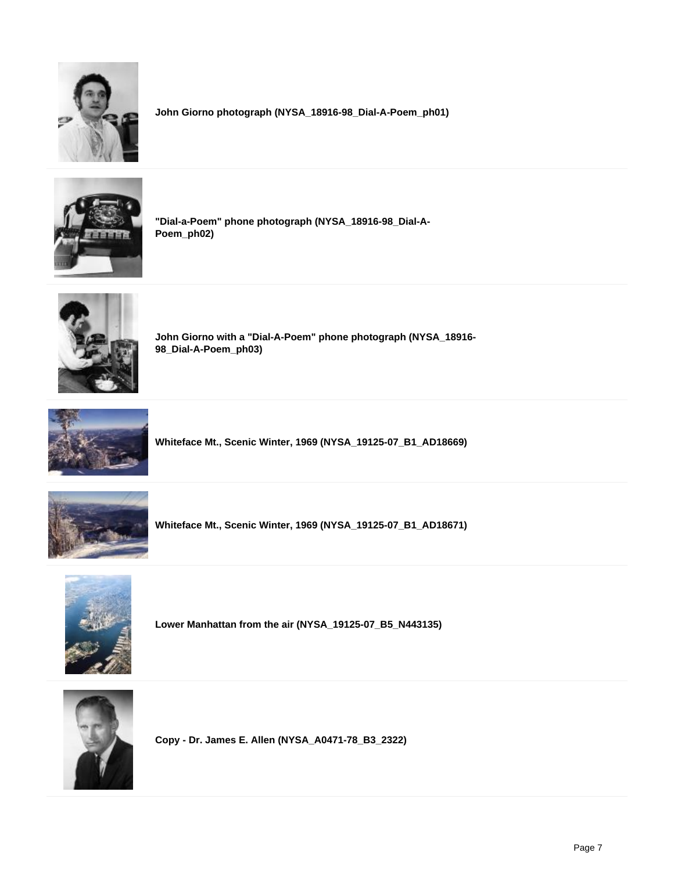

**John Giorno photograph (NYSA\_18916-98\_Dial-A-Poem\_ph01)**



**"Dial-a-Poem" phone photograph (NYSA\_18916-98\_Dial-A-Poem\_ph02)**



**John Giorno with a "Dial-A-Poem" phone photograph (NYSA\_18916- 98\_Dial-A-Poem\_ph03)**



**Whiteface Mt., Scenic Winter, 1969 (NYSA\_19125-07\_B1\_AD18669)**



**Whiteface Mt., Scenic Winter, 1969 (NYSA\_19125-07\_B1\_AD18671)**



**Lower Manhattan from the air (NYSA\_19125-07\_B5\_N443135)**



**Copy - Dr. James E. Allen (NYSA\_A0471-78\_B3\_2322)**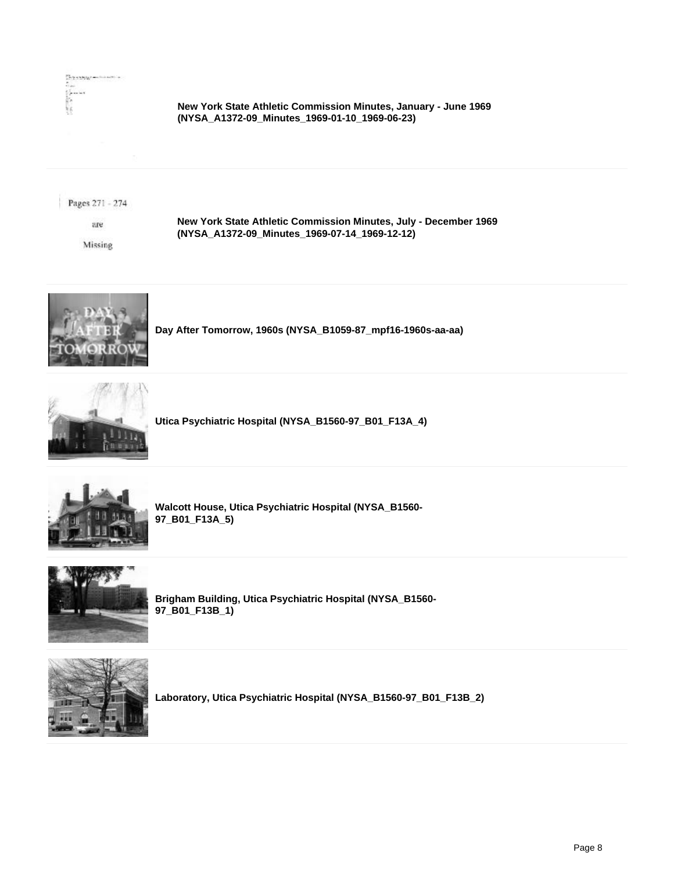

## **New York State Athletic Commission Minutes, January - June 1969 (NYSA\_A1372-09\_Minutes\_1969-01-10\_1969-06-23)**

Pages 271 - 274

sue

Missing

**New York State Athletic Commission Minutes, July - December 1969 (NYSA\_A1372-09\_Minutes\_1969-07-14\_1969-12-12)**

**Day After Tomorrow, 1960s (NYSA\_B1059-87\_mpf16-1960s-aa-aa)**



**Utica Psychiatric Hospital (NYSA\_B1560-97\_B01\_F13A\_4)**



**Walcott House, Utica Psychiatric Hospital (NYSA\_B1560- 97\_B01\_F13A\_5)**



**Brigham Building, Utica Psychiatric Hospital (NYSA\_B1560- 97\_B01\_F13B\_1)**



**Laboratory, Utica Psychiatric Hospital (NYSA\_B1560-97\_B01\_F13B\_2)**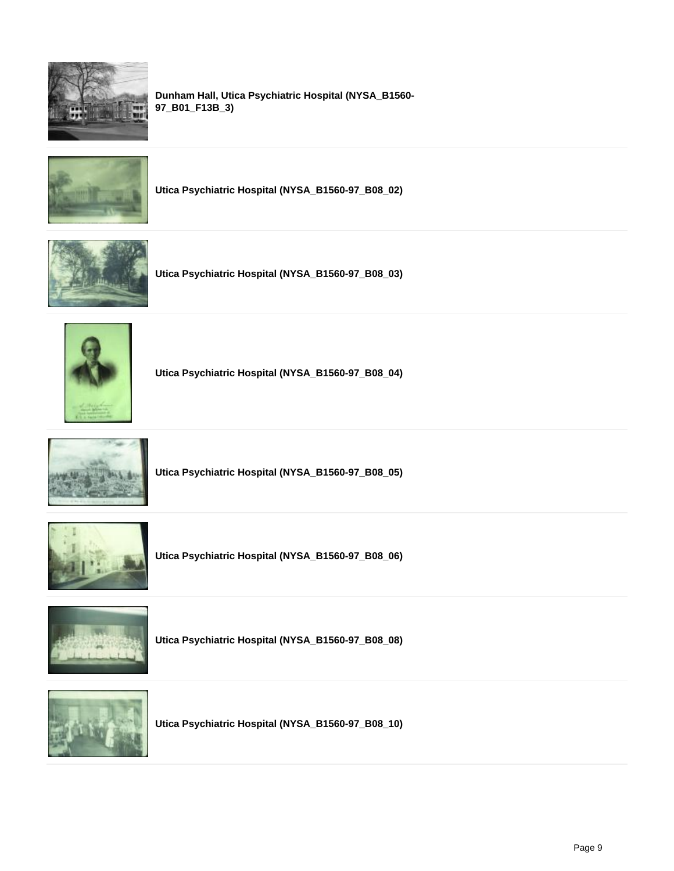

**Dunham Hall, Utica Psychiatric Hospital (NYSA\_B1560- 97\_B01\_F13B\_3)**



**Utica Psychiatric Hospital (NYSA\_B1560-97\_B08\_02)**



**Utica Psychiatric Hospital (NYSA\_B1560-97\_B08\_03)**



**Utica Psychiatric Hospital (NYSA\_B1560-97\_B08\_04)**



**Utica Psychiatric Hospital (NYSA\_B1560-97\_B08\_05)**



**Utica Psychiatric Hospital (NYSA\_B1560-97\_B08\_06)**



**Utica Psychiatric Hospital (NYSA\_B1560-97\_B08\_08)**



**Utica Psychiatric Hospital (NYSA\_B1560-97\_B08\_10)**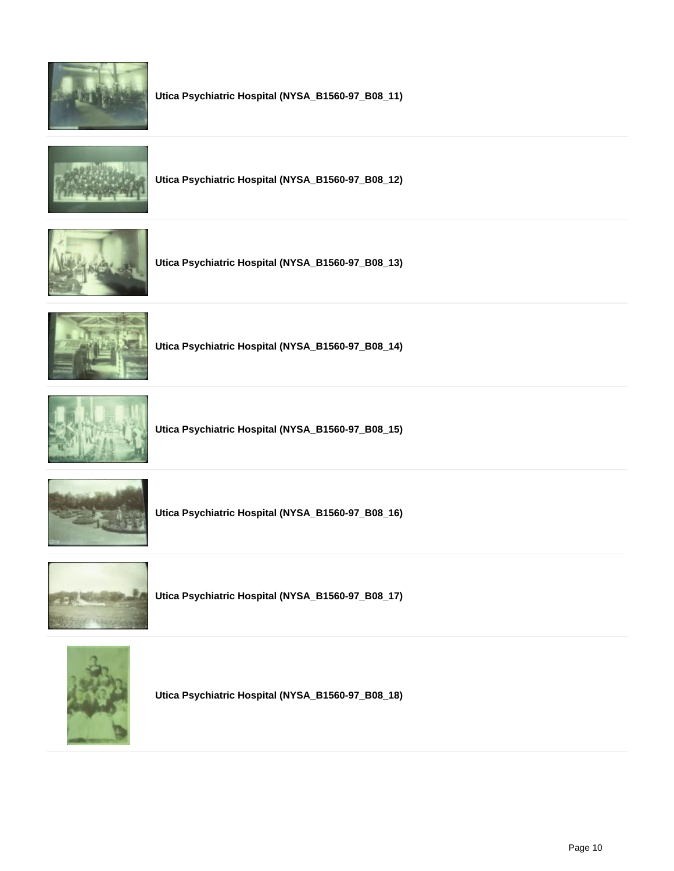

**Utica Psychiatric Hospital (NYSA\_B1560-97\_B08\_11)**



**Utica Psychiatric Hospital (NYSA\_B1560-97\_B08\_12)**



**Utica Psychiatric Hospital (NYSA\_B1560-97\_B08\_13)**



**Utica Psychiatric Hospital (NYSA\_B1560-97\_B08\_14)**



**Utica Psychiatric Hospital (NYSA\_B1560-97\_B08\_15)**



**Utica Psychiatric Hospital (NYSA\_B1560-97\_B08\_16)**



**Utica Psychiatric Hospital (NYSA\_B1560-97\_B08\_17)**



**Utica Psychiatric Hospital (NYSA\_B1560-97\_B08\_18)**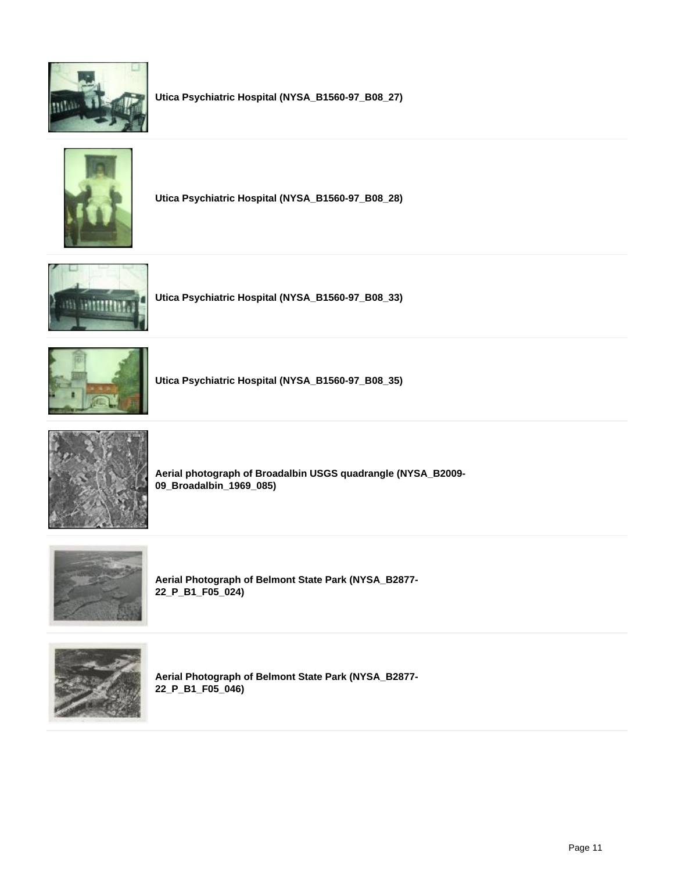

**Utica Psychiatric Hospital (NYSA\_B1560-97\_B08\_27)**



**Utica Psychiatric Hospital (NYSA\_B1560-97\_B08\_28)**



**Utica Psychiatric Hospital (NYSA\_B1560-97\_B08\_33)**



**Utica Psychiatric Hospital (NYSA\_B1560-97\_B08\_35)**



**Aerial photograph of Broadalbin USGS quadrangle (NYSA\_B2009- 09\_Broadalbin\_1969\_085)**



**Aerial Photograph of Belmont State Park (NYSA\_B2877- 22\_P\_B1\_F05\_024)**



**Aerial Photograph of Belmont State Park (NYSA\_B2877- 22\_P\_B1\_F05\_046)**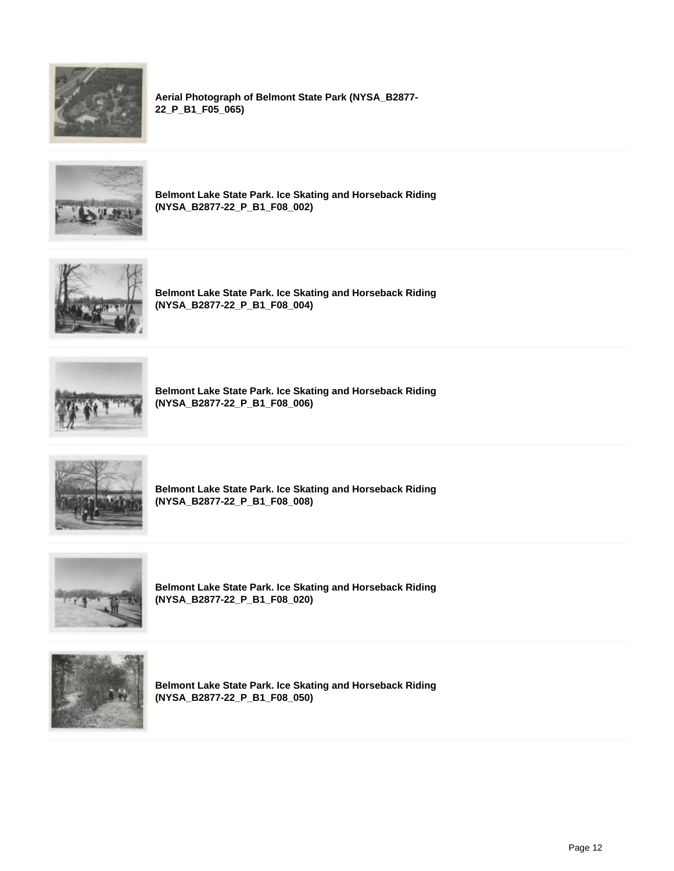

**Aerial Photograph of Belmont State Park (NYSA\_B2877- 22\_P\_B1\_F05\_065)**



**Belmont Lake State Park. Ice Skating and Horseback Riding (NYSA\_B2877-22\_P\_B1\_F08\_002)**



**Belmont Lake State Park. Ice Skating and Horseback Riding (NYSA\_B2877-22\_P\_B1\_F08\_004)**



**Belmont Lake State Park. Ice Skating and Horseback Riding (NYSA\_B2877-22\_P\_B1\_F08\_006)**



**Belmont Lake State Park. Ice Skating and Horseback Riding (NYSA\_B2877-22\_P\_B1\_F08\_008)**



**Belmont Lake State Park. Ice Skating and Horseback Riding (NYSA\_B2877-22\_P\_B1\_F08\_020)**



**Belmont Lake State Park. Ice Skating and Horseback Riding (NYSA\_B2877-22\_P\_B1\_F08\_050)**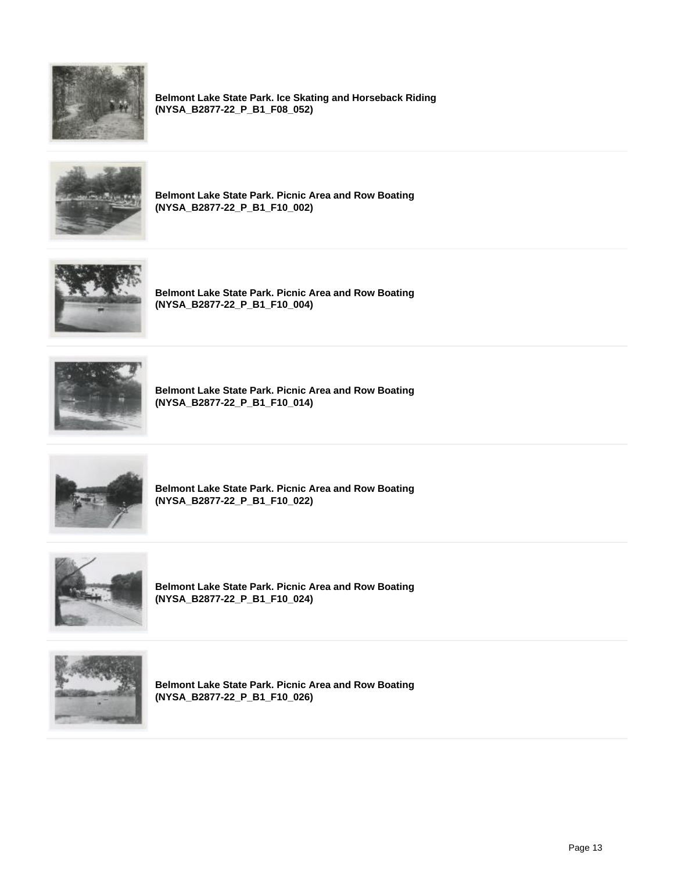

**Belmont Lake State Park. Ice Skating and Horseback Riding (NYSA\_B2877-22\_P\_B1\_F08\_052)**



**Belmont Lake State Park. Picnic Area and Row Boating (NYSA\_B2877-22\_P\_B1\_F10\_002)**



**Belmont Lake State Park. Picnic Area and Row Boating (NYSA\_B2877-22\_P\_B1\_F10\_004)**



**Belmont Lake State Park. Picnic Area and Row Boating (NYSA\_B2877-22\_P\_B1\_F10\_014)**



**Belmont Lake State Park. Picnic Area and Row Boating (NYSA\_B2877-22\_P\_B1\_F10\_022)**



**Belmont Lake State Park. Picnic Area and Row Boating (NYSA\_B2877-22\_P\_B1\_F10\_024)**



**Belmont Lake State Park. Picnic Area and Row Boating (NYSA\_B2877-22\_P\_B1\_F10\_026)**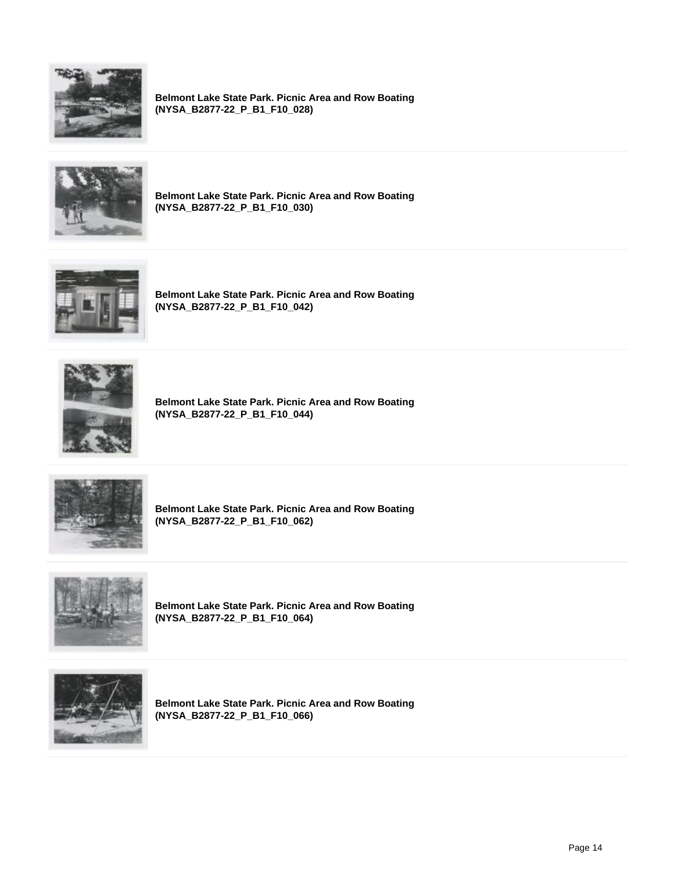

**Belmont Lake State Park. Picnic Area and Row Boating (NYSA\_B2877-22\_P\_B1\_F10\_028)**



**Belmont Lake State Park. Picnic Area and Row Boating (NYSA\_B2877-22\_P\_B1\_F10\_030)**



**Belmont Lake State Park. Picnic Area and Row Boating (NYSA\_B2877-22\_P\_B1\_F10\_042)**



**Belmont Lake State Park. Picnic Area and Row Boating (NYSA\_B2877-22\_P\_B1\_F10\_044)**



**Belmont Lake State Park. Picnic Area and Row Boating (NYSA\_B2877-22\_P\_B1\_F10\_062)**



**Belmont Lake State Park. Picnic Area and Row Boating (NYSA\_B2877-22\_P\_B1\_F10\_064)**



**Belmont Lake State Park. Picnic Area and Row Boating (NYSA\_B2877-22\_P\_B1\_F10\_066)**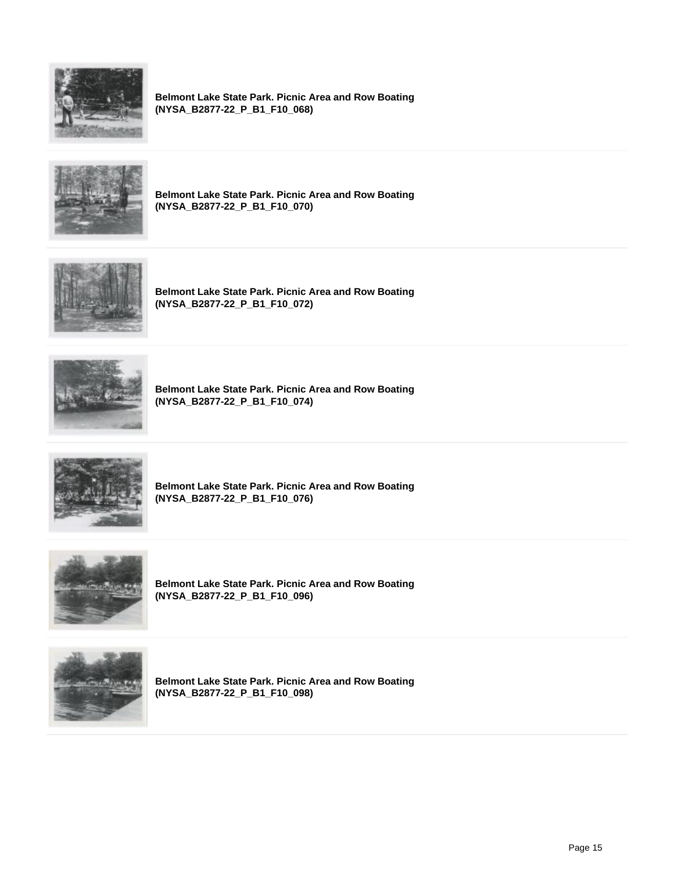

**Belmont Lake State Park. Picnic Area and Row Boating (NYSA\_B2877-22\_P\_B1\_F10\_068)**



**Belmont Lake State Park. Picnic Area and Row Boating (NYSA\_B2877-22\_P\_B1\_F10\_070)**



**Belmont Lake State Park. Picnic Area and Row Boating (NYSA\_B2877-22\_P\_B1\_F10\_072)**



**Belmont Lake State Park. Picnic Area and Row Boating (NYSA\_B2877-22\_P\_B1\_F10\_074)**



**Belmont Lake State Park. Picnic Area and Row Boating (NYSA\_B2877-22\_P\_B1\_F10\_076)**



**Belmont Lake State Park. Picnic Area and Row Boating (NYSA\_B2877-22\_P\_B1\_F10\_096)**



**Belmont Lake State Park. Picnic Area and Row Boating (NYSA\_B2877-22\_P\_B1\_F10\_098)**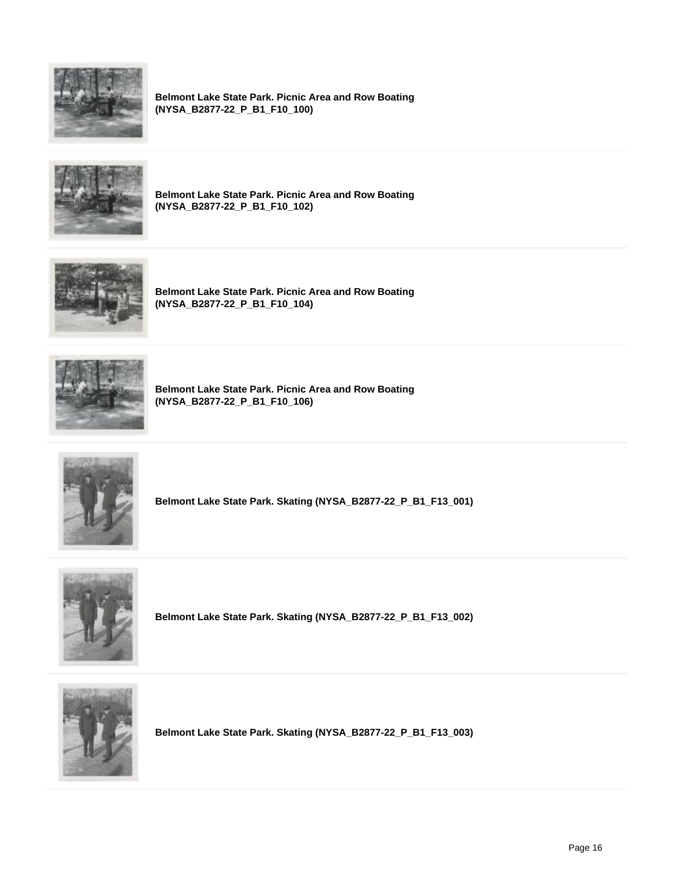

**Belmont Lake State Park. Picnic Area and Row Boating (NYSA\_B2877-22\_P\_B1\_F10\_100)**



**Belmont Lake State Park. Picnic Area and Row Boating (NYSA\_B2877-22\_P\_B1\_F10\_102)**



**Belmont Lake State Park. Picnic Area and Row Boating (NYSA\_B2877-22\_P\_B1\_F10\_104)**



**Belmont Lake State Park. Picnic Area and Row Boating (NYSA\_B2877-22\_P\_B1\_F10\_106)**



**Belmont Lake State Park. Skating (NYSA\_B2877-22\_P\_B1\_F13\_001)**



**Belmont Lake State Park. Skating (NYSA\_B2877-22\_P\_B1\_F13\_002)**



**Belmont Lake State Park. Skating (NYSA\_B2877-22\_P\_B1\_F13\_003)**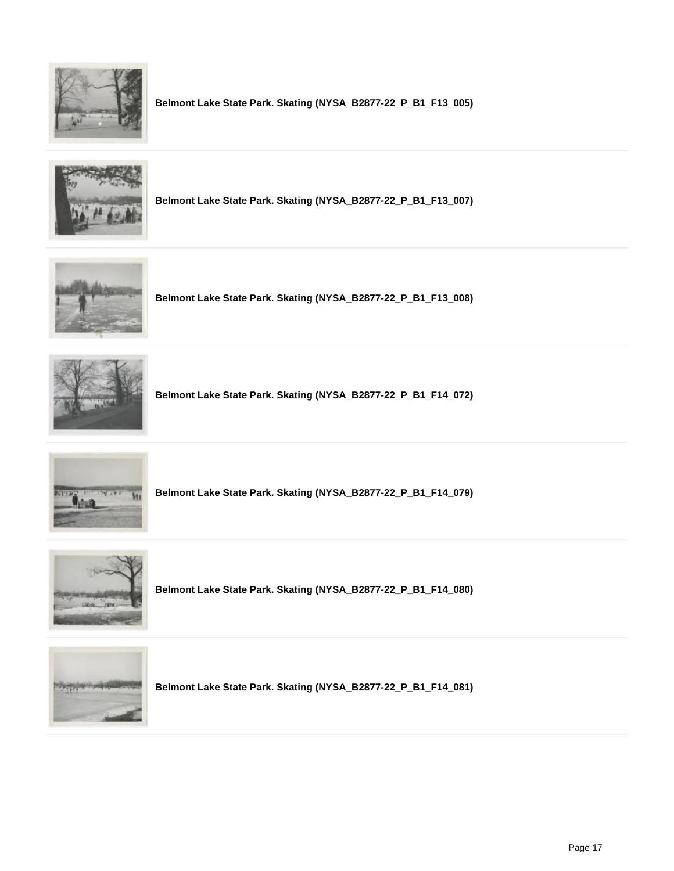

**Belmont Lake State Park. Skating (NYSA\_B2877-22\_P\_B1\_F13\_005)**



**Belmont Lake State Park. Skating (NYSA\_B2877-22\_P\_B1\_F13\_007)**



**Belmont Lake State Park. Skating (NYSA\_B2877-22\_P\_B1\_F13\_008)**



**Belmont Lake State Park. Skating (NYSA\_B2877-22\_P\_B1\_F14\_072)**



**Belmont Lake State Park. Skating (NYSA\_B2877-22\_P\_B1\_F14\_079)**



**Belmont Lake State Park. Skating (NYSA\_B2877-22\_P\_B1\_F14\_080)**



**Belmont Lake State Park. Skating (NYSA\_B2877-22\_P\_B1\_F14\_081)**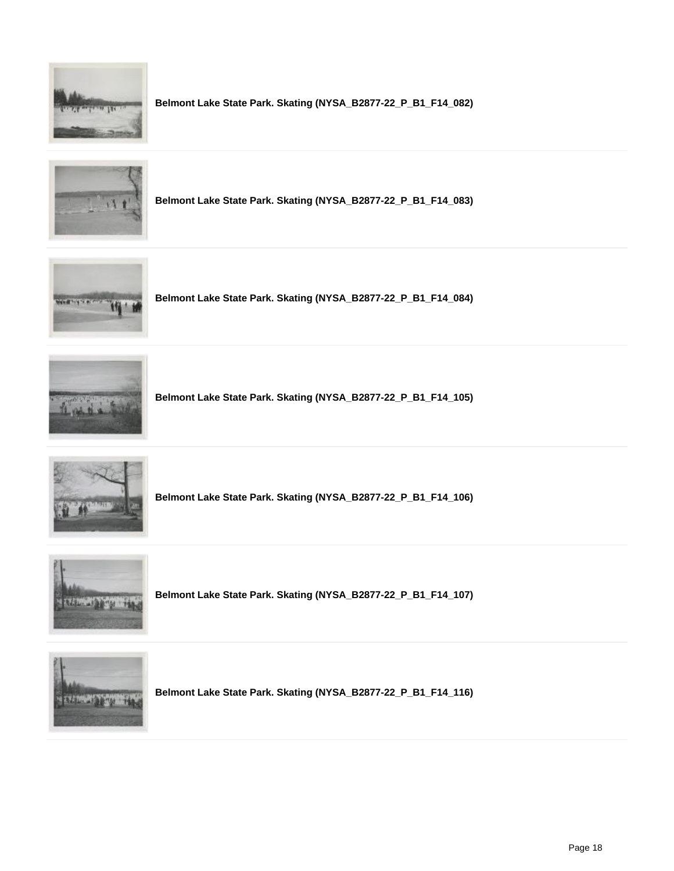

**Belmont Lake State Park. Skating (NYSA\_B2877-22\_P\_B1\_F14\_082)**



**Belmont Lake State Park. Skating (NYSA\_B2877-22\_P\_B1\_F14\_083)**



**Belmont Lake State Park. Skating (NYSA\_B2877-22\_P\_B1\_F14\_084)**



**Belmont Lake State Park. Skating (NYSA\_B2877-22\_P\_B1\_F14\_105)**



**Belmont Lake State Park. Skating (NYSA\_B2877-22\_P\_B1\_F14\_106)**



**Belmont Lake State Park. Skating (NYSA\_B2877-22\_P\_B1\_F14\_107)**



**Belmont Lake State Park. Skating (NYSA\_B2877-22\_P\_B1\_F14\_116)**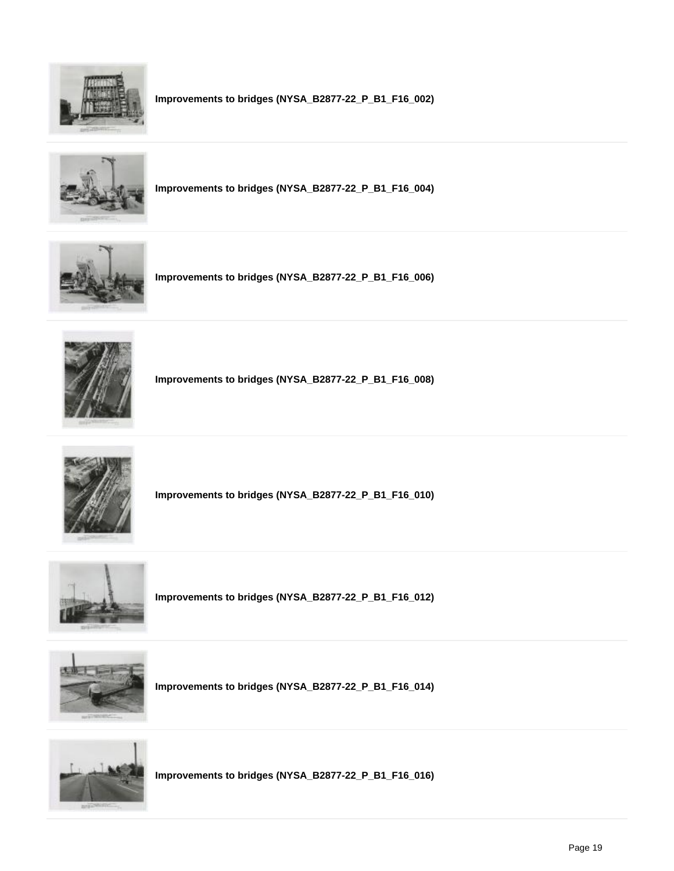

**Improvements to bridges (NYSA\_B2877-22\_P\_B1\_F16\_002)**



**Improvements to bridges (NYSA\_B2877-22\_P\_B1\_F16\_004)**



**Improvements to bridges (NYSA\_B2877-22\_P\_B1\_F16\_006)**



**Improvements to bridges (NYSA\_B2877-22\_P\_B1\_F16\_008)**



**Improvements to bridges (NYSA\_B2877-22\_P\_B1\_F16\_010)**



**Improvements to bridges (NYSA\_B2877-22\_P\_B1\_F16\_012)**



**Improvements to bridges (NYSA\_B2877-22\_P\_B1\_F16\_014)**



**Improvements to bridges (NYSA\_B2877-22\_P\_B1\_F16\_016)**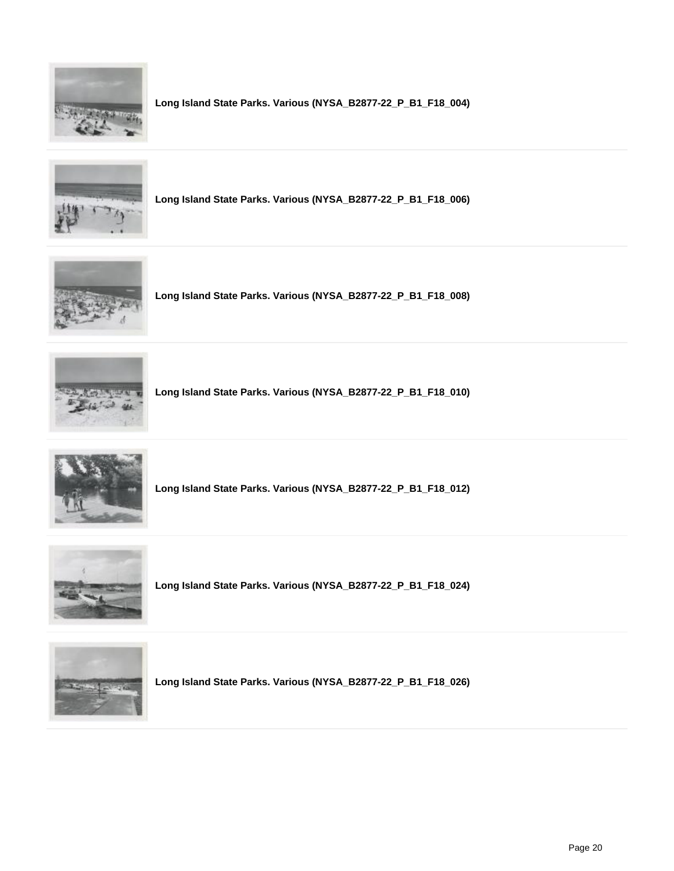

**Long Island State Parks. Various (NYSA\_B2877-22\_P\_B1\_F18\_004)**



**Long Island State Parks. Various (NYSA\_B2877-22\_P\_B1\_F18\_006)**



**Long Island State Parks. Various (NYSA\_B2877-22\_P\_B1\_F18\_008)**



**Long Island State Parks. Various (NYSA\_B2877-22\_P\_B1\_F18\_010)**



**Long Island State Parks. Various (NYSA\_B2877-22\_P\_B1\_F18\_012)**



**Long Island State Parks. Various (NYSA\_B2877-22\_P\_B1\_F18\_024)**



**Long Island State Parks. Various (NYSA\_B2877-22\_P\_B1\_F18\_026)**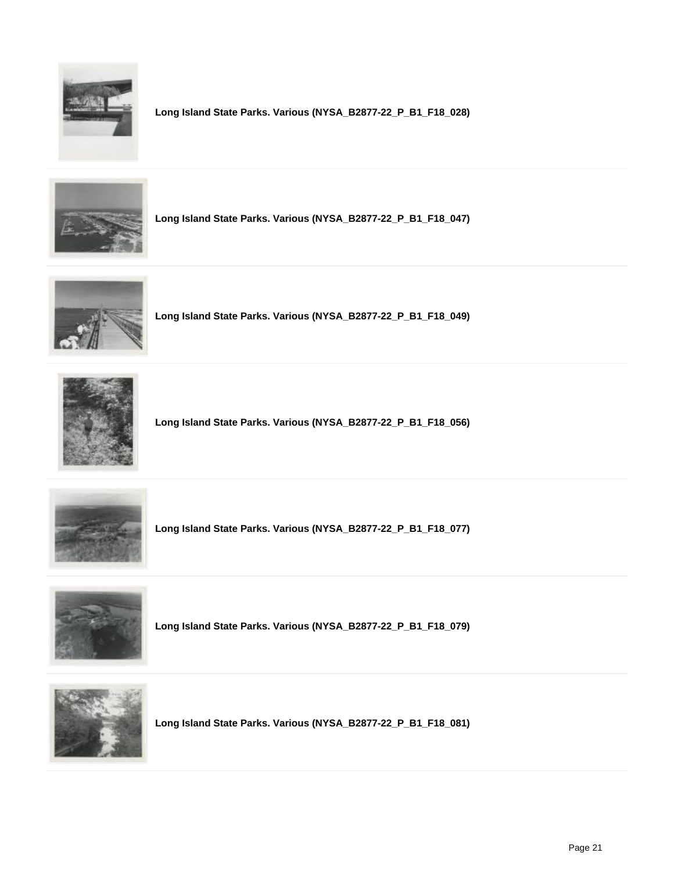

**Long Island State Parks. Various (NYSA\_B2877-22\_P\_B1\_F18\_028)**



**Long Island State Parks. Various (NYSA\_B2877-22\_P\_B1\_F18\_047)**



**Long Island State Parks. Various (NYSA\_B2877-22\_P\_B1\_F18\_049)**



**Long Island State Parks. Various (NYSA\_B2877-22\_P\_B1\_F18\_056)**



**Long Island State Parks. Various (NYSA\_B2877-22\_P\_B1\_F18\_077)**



**Long Island State Parks. Various (NYSA\_B2877-22\_P\_B1\_F18\_079)**



**Long Island State Parks. Various (NYSA\_B2877-22\_P\_B1\_F18\_081)**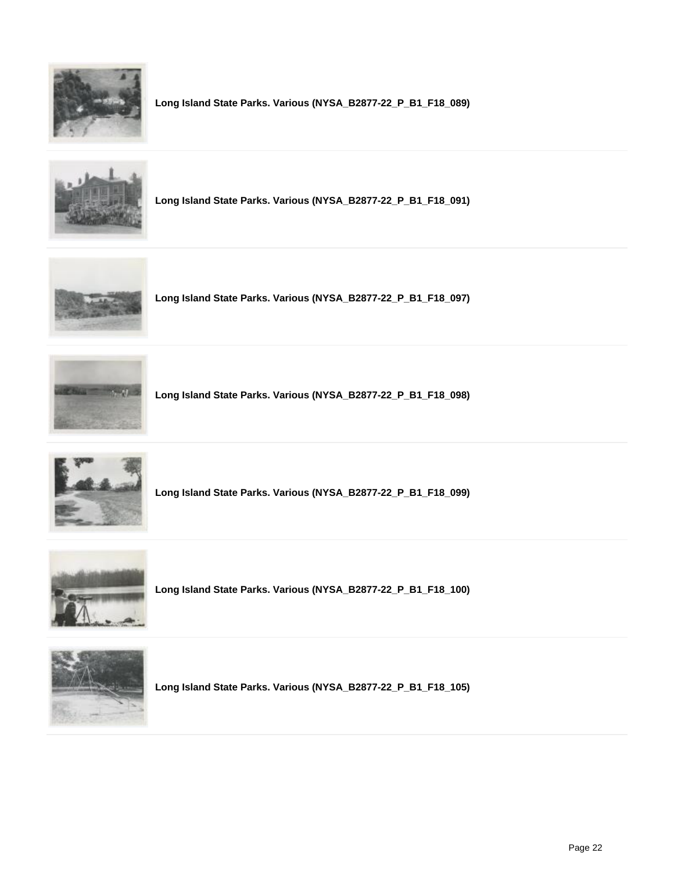

**Long Island State Parks. Various (NYSA\_B2877-22\_P\_B1\_F18\_089)**



**Long Island State Parks. Various (NYSA\_B2877-22\_P\_B1\_F18\_091)**



**Long Island State Parks. Various (NYSA\_B2877-22\_P\_B1\_F18\_097)**



**Long Island State Parks. Various (NYSA\_B2877-22\_P\_B1\_F18\_098)**



**Long Island State Parks. Various (NYSA\_B2877-22\_P\_B1\_F18\_099)**



**Long Island State Parks. Various (NYSA\_B2877-22\_P\_B1\_F18\_100)**



**Long Island State Parks. Various (NYSA\_B2877-22\_P\_B1\_F18\_105)**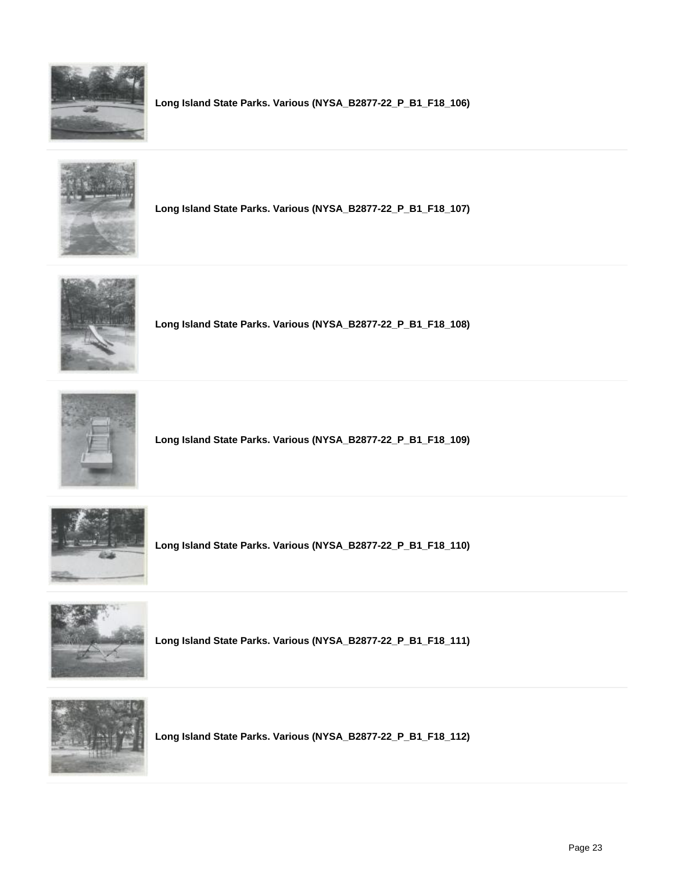

**Long Island State Parks. Various (NYSA\_B2877-22\_P\_B1\_F18\_106)**



**Long Island State Parks. Various (NYSA\_B2877-22\_P\_B1\_F18\_107)**



**Long Island State Parks. Various (NYSA\_B2877-22\_P\_B1\_F18\_108)**



**Long Island State Parks. Various (NYSA\_B2877-22\_P\_B1\_F18\_109)**



**Long Island State Parks. Various (NYSA\_B2877-22\_P\_B1\_F18\_110)**



**Long Island State Parks. Various (NYSA\_B2877-22\_P\_B1\_F18\_111)**



**Long Island State Parks. Various (NYSA\_B2877-22\_P\_B1\_F18\_112)**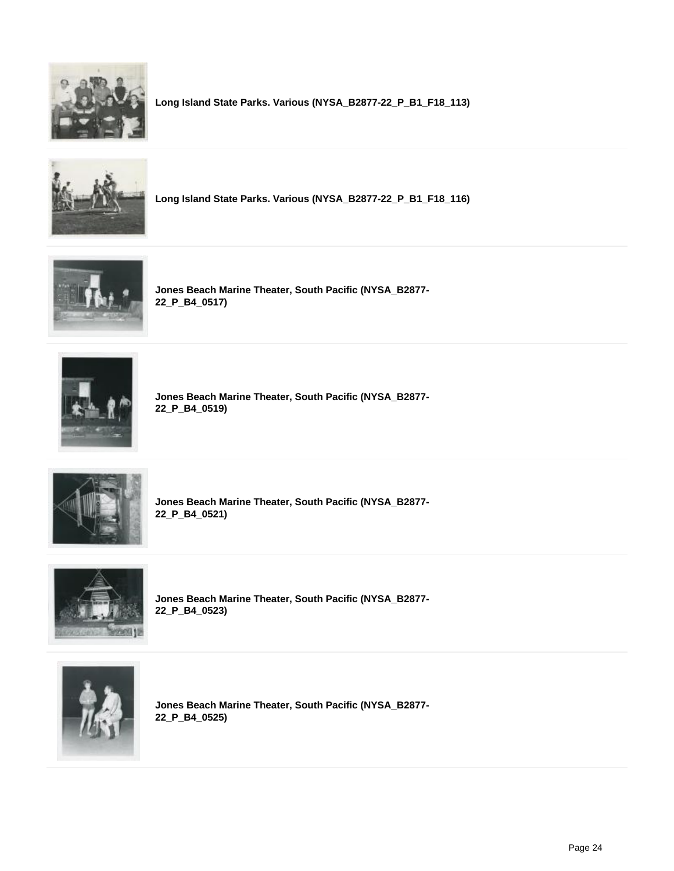

**Long Island State Parks. Various (NYSA\_B2877-22\_P\_B1\_F18\_113)**



**Long Island State Parks. Various (NYSA\_B2877-22\_P\_B1\_F18\_116)**



**Jones Beach Marine Theater, South Pacific (NYSA\_B2877- 22\_P\_B4\_0517)**



**Jones Beach Marine Theater, South Pacific (NYSA\_B2877- 22\_P\_B4\_0519)**



**Jones Beach Marine Theater, South Pacific (NYSA\_B2877- 22\_P\_B4\_0521)**



**Jones Beach Marine Theater, South Pacific (NYSA\_B2877- 22\_P\_B4\_0523)**



**Jones Beach Marine Theater, South Pacific (NYSA\_B2877- 22\_P\_B4\_0525)**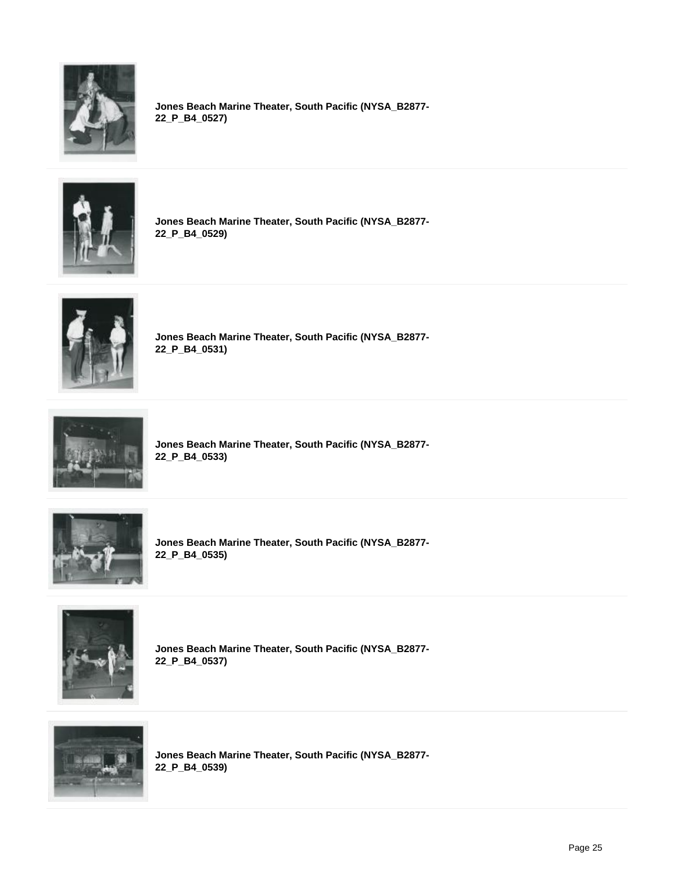

**Jones Beach Marine Theater, South Pacific (NYSA\_B2877- 22\_P\_B4\_0527)**



**Jones Beach Marine Theater, South Pacific (NYSA\_B2877- 22\_P\_B4\_0529)**



**Jones Beach Marine Theater, South Pacific (NYSA\_B2877- 22\_P\_B4\_0531)**



**Jones Beach Marine Theater, South Pacific (NYSA\_B2877- 22\_P\_B4\_0533)**



**Jones Beach Marine Theater, South Pacific (NYSA\_B2877- 22\_P\_B4\_0535)**



**Jones Beach Marine Theater, South Pacific (NYSA\_B2877- 22\_P\_B4\_0537)**



**Jones Beach Marine Theater, South Pacific (NYSA\_B2877- 22\_P\_B4\_0539)**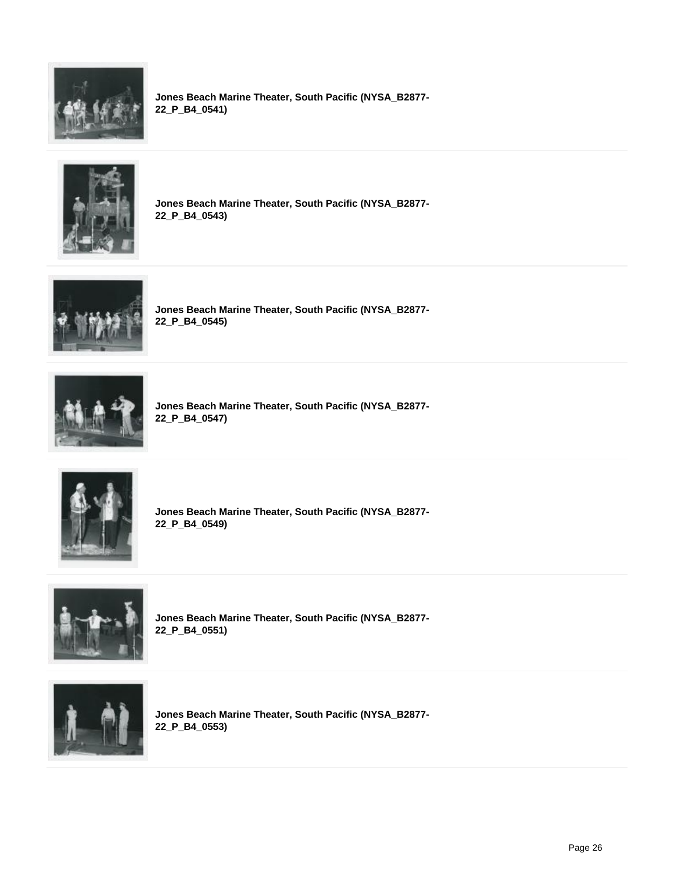

**Jones Beach Marine Theater, South Pacific (NYSA\_B2877- 22\_P\_B4\_0541)**



**Jones Beach Marine Theater, South Pacific (NYSA\_B2877- 22\_P\_B4\_0543)**



**Jones Beach Marine Theater, South Pacific (NYSA\_B2877- 22\_P\_B4\_0545)**



**Jones Beach Marine Theater, South Pacific (NYSA\_B2877- 22\_P\_B4\_0547)**



**Jones Beach Marine Theater, South Pacific (NYSA\_B2877- 22\_P\_B4\_0549)**



**Jones Beach Marine Theater, South Pacific (NYSA\_B2877- 22\_P\_B4\_0551)**



**Jones Beach Marine Theater, South Pacific (NYSA\_B2877- 22\_P\_B4\_0553)**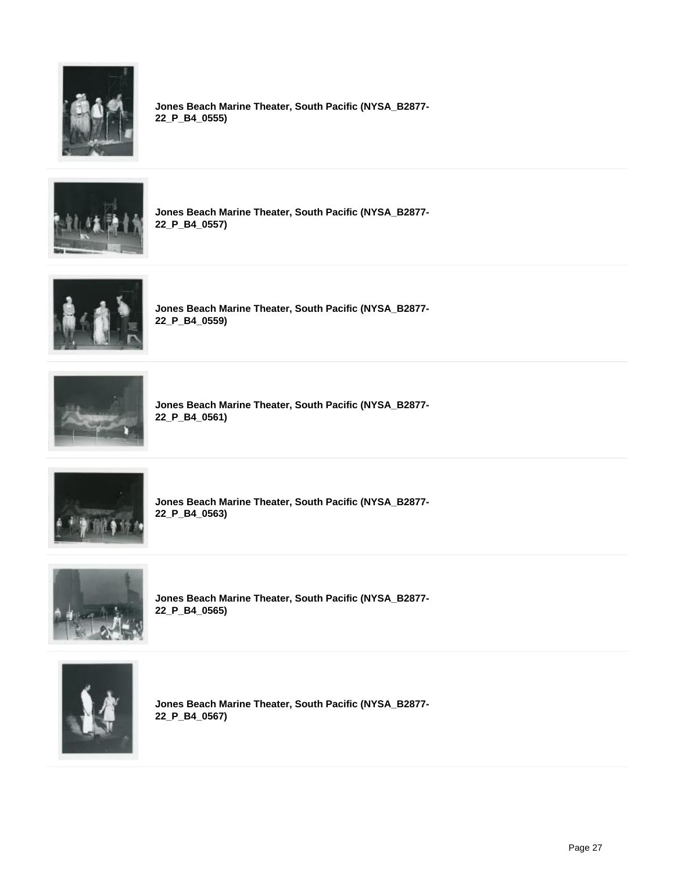

**Jones Beach Marine Theater, South Pacific (NYSA\_B2877- 22\_P\_B4\_0555)**



**Jones Beach Marine Theater, South Pacific (NYSA\_B2877- 22\_P\_B4\_0557)**



**Jones Beach Marine Theater, South Pacific (NYSA\_B2877- 22\_P\_B4\_0559)**



**Jones Beach Marine Theater, South Pacific (NYSA\_B2877- 22\_P\_B4\_0561)**



**Jones Beach Marine Theater, South Pacific (NYSA\_B2877- 22\_P\_B4\_0563)**



**Jones Beach Marine Theater, South Pacific (NYSA\_B2877- 22\_P\_B4\_0565)**



**Jones Beach Marine Theater, South Pacific (NYSA\_B2877- 22\_P\_B4\_0567)**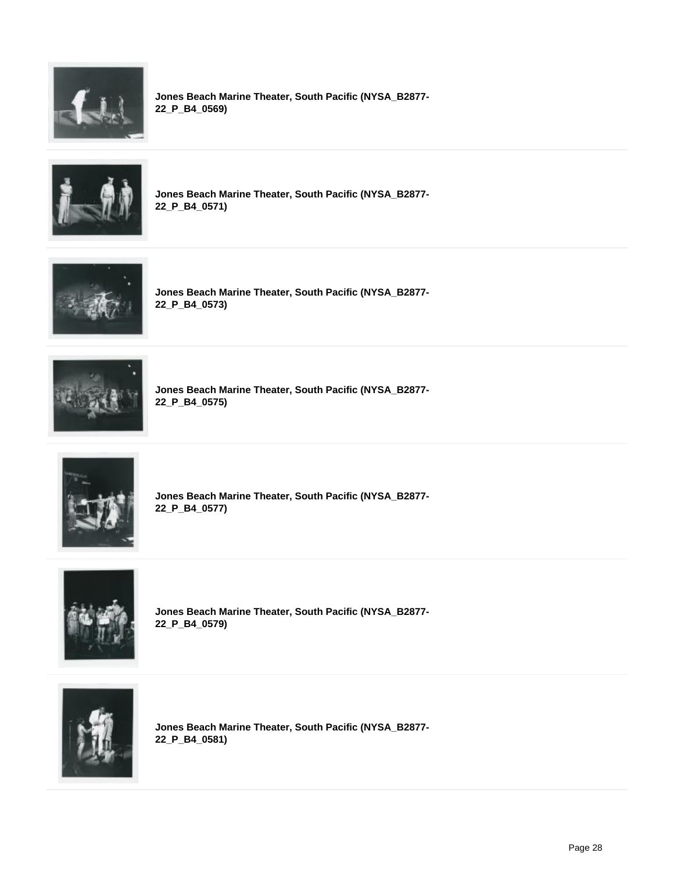

**Jones Beach Marine Theater, South Pacific (NYSA\_B2877- 22\_P\_B4\_0569)**



**Jones Beach Marine Theater, South Pacific (NYSA\_B2877- 22\_P\_B4\_0571)**



**Jones Beach Marine Theater, South Pacific (NYSA\_B2877- 22\_P\_B4\_0573)**



**Jones Beach Marine Theater, South Pacific (NYSA\_B2877- 22\_P\_B4\_0575)**



**Jones Beach Marine Theater, South Pacific (NYSA\_B2877- 22\_P\_B4\_0577)**



**Jones Beach Marine Theater, South Pacific (NYSA\_B2877- 22\_P\_B4\_0579)**



**Jones Beach Marine Theater, South Pacific (NYSA\_B2877- 22\_P\_B4\_0581)**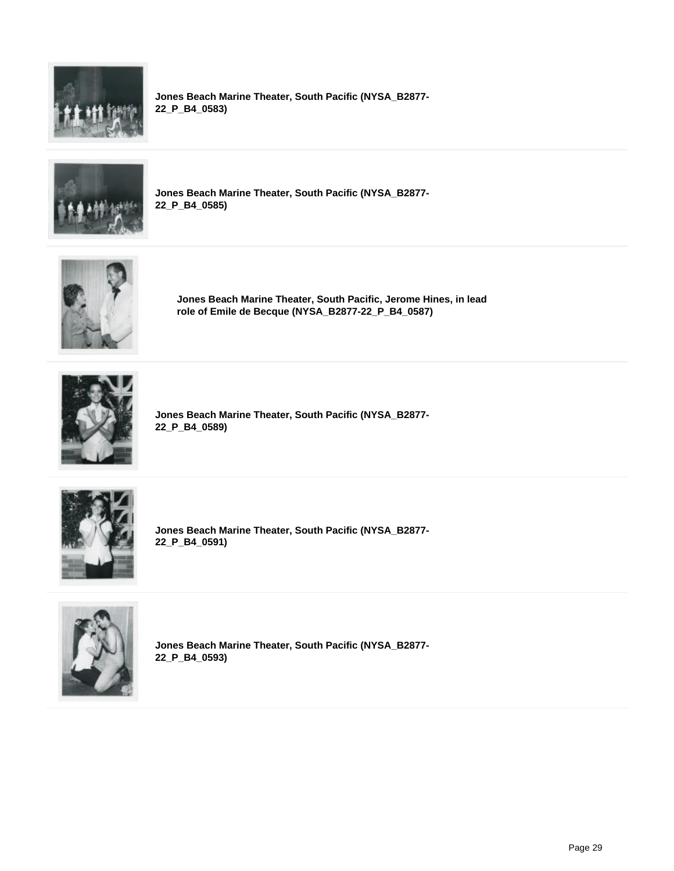

**Jones Beach Marine Theater, South Pacific (NYSA\_B2877- 22\_P\_B4\_0583)**



**Jones Beach Marine Theater, South Pacific (NYSA\_B2877- 22\_P\_B4\_0585)**



**Jones Beach Marine Theater, South Pacific, Jerome Hines, in lead role of Emile de Becque (NYSA\_B2877-22\_P\_B4\_0587)**



**Jones Beach Marine Theater, South Pacific (NYSA\_B2877- 22\_P\_B4\_0589)**



**Jones Beach Marine Theater, South Pacific (NYSA\_B2877- 22\_P\_B4\_0591)**



**Jones Beach Marine Theater, South Pacific (NYSA\_B2877- 22\_P\_B4\_0593)**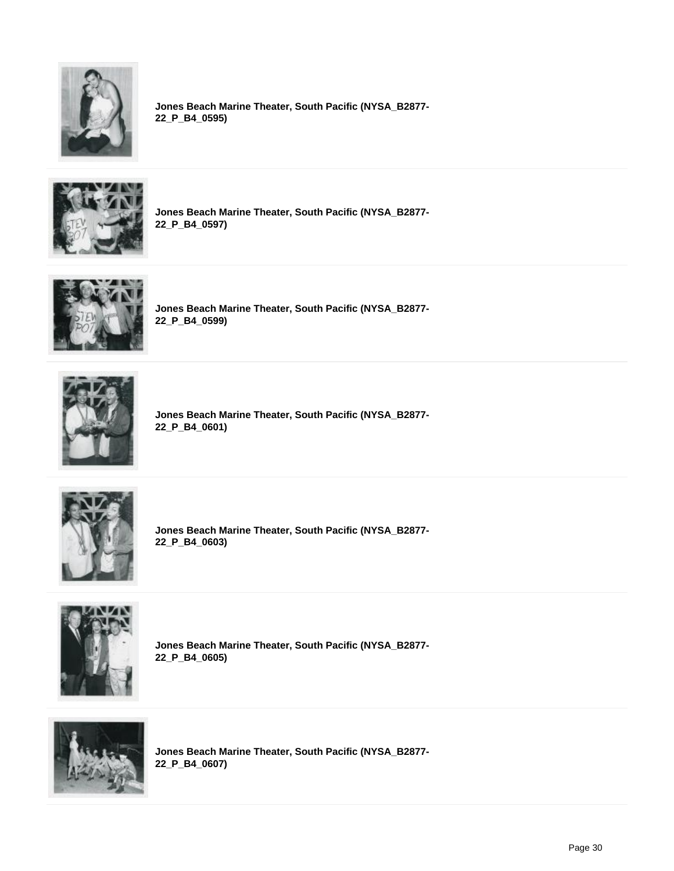

**Jones Beach Marine Theater, South Pacific (NYSA\_B2877- 22\_P\_B4\_0595)**



**Jones Beach Marine Theater, South Pacific (NYSA\_B2877- 22\_P\_B4\_0597)**



**Jones Beach Marine Theater, South Pacific (NYSA\_B2877- 22\_P\_B4\_0599)**



**Jones Beach Marine Theater, South Pacific (NYSA\_B2877- 22\_P\_B4\_0601)**



**Jones Beach Marine Theater, South Pacific (NYSA\_B2877- 22\_P\_B4\_0603)**



**Jones Beach Marine Theater, South Pacific (NYSA\_B2877- 22\_P\_B4\_0605)**



**Jones Beach Marine Theater, South Pacific (NYSA\_B2877- 22\_P\_B4\_0607)**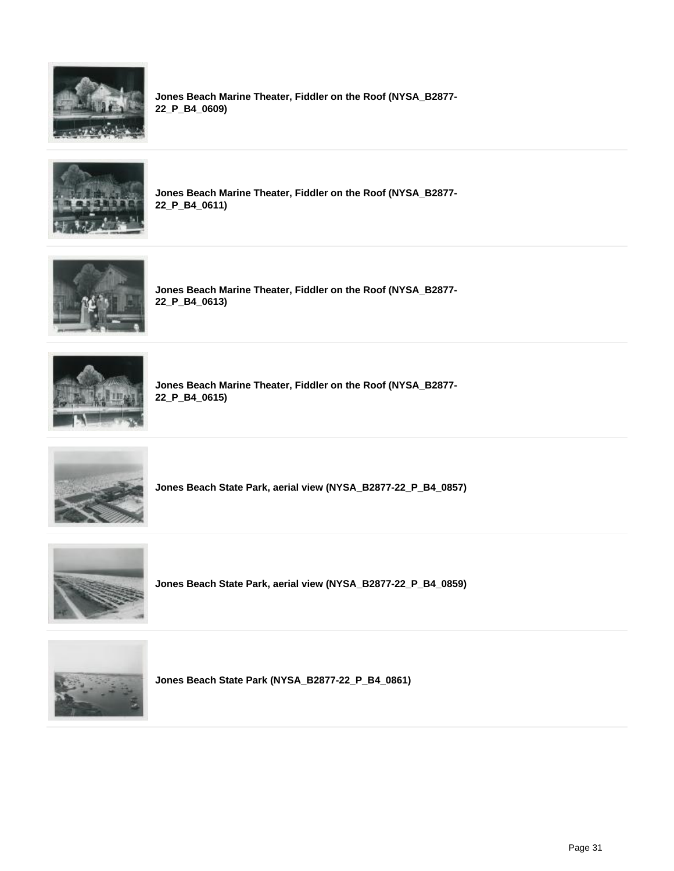

**Jones Beach Marine Theater, Fiddler on the Roof (NYSA\_B2877- 22\_P\_B4\_0609)**



**Jones Beach Marine Theater, Fiddler on the Roof (NYSA\_B2877- 22\_P\_B4\_0611)**



**Jones Beach Marine Theater, Fiddler on the Roof (NYSA\_B2877- 22\_P\_B4\_0613)**



**Jones Beach Marine Theater, Fiddler on the Roof (NYSA\_B2877- 22\_P\_B4\_0615)**



**Jones Beach State Park, aerial view (NYSA\_B2877-22\_P\_B4\_0857)**



**Jones Beach State Park, aerial view (NYSA\_B2877-22\_P\_B4\_0859)**



**Jones Beach State Park (NYSA\_B2877-22\_P\_B4\_0861)**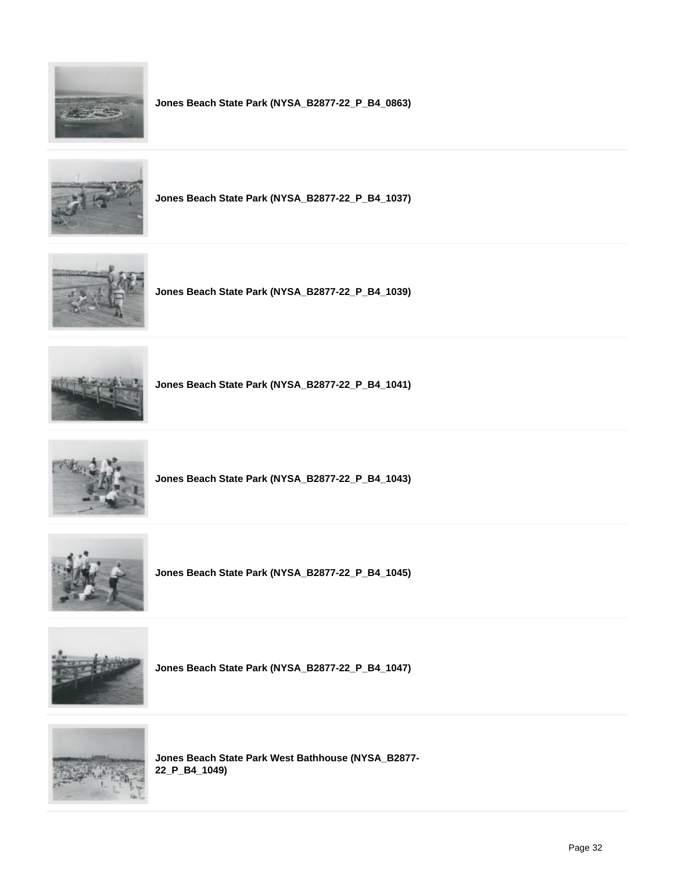

**Jones Beach State Park (NYSA\_B2877-22\_P\_B4\_0863)**



**Jones Beach State Park (NYSA\_B2877-22\_P\_B4\_1037)**



**Jones Beach State Park (NYSA\_B2877-22\_P\_B4\_1039)**



**Jones Beach State Park (NYSA\_B2877-22\_P\_B4\_1041)**



**Jones Beach State Park (NYSA\_B2877-22\_P\_B4\_1043)**



**Jones Beach State Park (NYSA\_B2877-22\_P\_B4\_1045)**



**Jones Beach State Park (NYSA\_B2877-22\_P\_B4\_1047)**



**Jones Beach State Park West Bathhouse (NYSA\_B2877- 22\_P\_B4\_1049)**